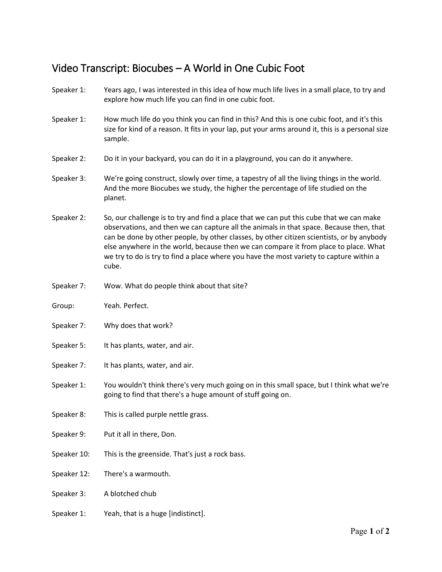## Video Transcript: Biocubes – A World in One Cubic Foot

- Speaker 1: Years ago, I was interested in this idea of how much life lives in a small place, to try and explore how much life you can find in one cubic foot.
- Speaker 1: How much life do you think you can find in this? And this is one cubic foot, and it's this size for kind of a reason. It fits in your lap, put your arms around it, this is a personal size sample.
- Speaker 2: Do it in your backyard, you can do it in a playground, you can do it anywhere.
- Speaker 3: We're going construct, slowly over time, a tapestry of all the living things in the world. And the more Biocubes we study, the higher the percentage of life studied on the planet.
- Speaker 2: So, our challenge is to try and find a place that we can put this cube that we can make observations, and then we can capture all the animals in that space. Because then, that can be done by other people, by other classes, by other citizen scientists, or by anybody else anywhere in the world, because then we can compare it from place to place. What we try to do is try to find a place where you have the most variety to capture within a cube.
- Speaker 7: Wow. What do people think about that site?
- Group: Yeah. Perfect.
- Speaker 7: Why does that work?
- Speaker 5: It has plants, water, and air.
- Speaker 7: It has plants, water, and air.
- Speaker 1: You wouldn't think there's very much going on in this small space, but I think what we're going to find that there's a huge amount of stuff going on.
- Speaker 8: This is called purple nettle grass.
- Speaker 9: Put it all in there, Don.
- Speaker 10: This is the greenside. That's just a rock bass.
- Speaker 12: There's a warmouth.
- Speaker 3: A blotched chub
- Speaker 1: Yeah, that is a huge [indistinct].